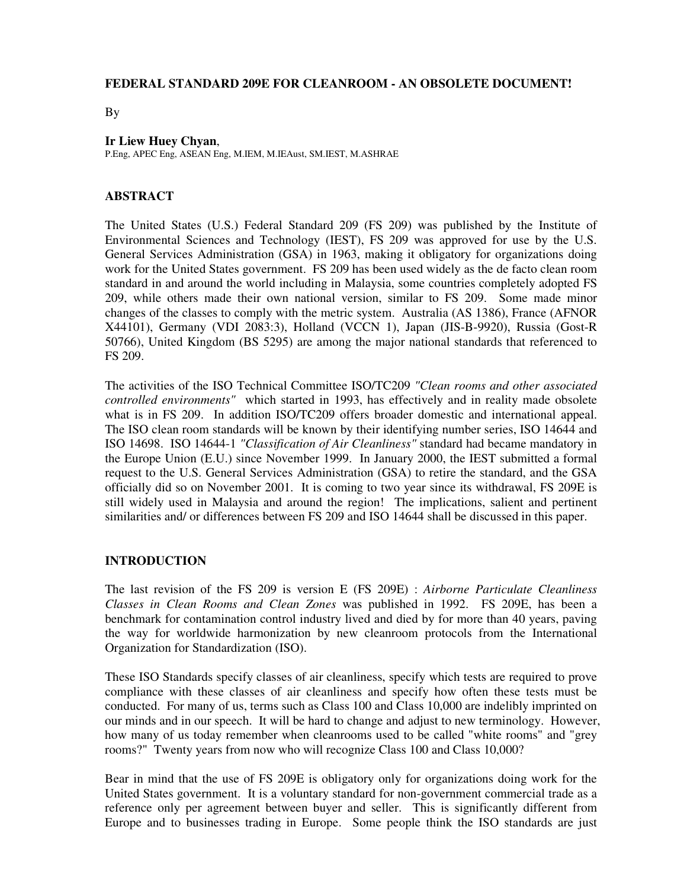### **FEDERAL STANDARD 209E FOR CLEANROOM - AN OBSOLETE DOCUMENT!**

By

### **Ir Liew Huey Chyan**,

P.Eng, APEC Eng, ASEAN Eng, M.IEM, M.IEAust, SM.IEST, M.ASHRAE

### **ABSTRACT**

The United States (U.S.) Federal Standard 209 (FS 209) was published by the Institute of Environmental Sciences and Technology (IEST), FS 209 was approved for use by the U.S. General Services Administration (GSA) in 1963, making it obligatory for organizations doing work for the United States government. FS 209 has been used widely as the de facto clean room standard in and around the world including in Malaysia, some countries completely adopted FS 209, while others made their own national version, similar to FS 209. Some made minor changes of the classes to comply with the metric system. Australia (AS 1386), France (AFNOR X44101), Germany (VDI 2083:3), Holland (VCCN 1), Japan (JIS-B-9920), Russia (Gost-R 50766), United Kingdom (BS 5295) are among the major national standards that referenced to FS 209.

The activities of the ISO Technical Committee ISO/TC209 *"Clean rooms and other associated controlled environments"* which started in 1993, has effectively and in reality made obsolete what is in FS 209. In addition ISO/TC209 offers broader domestic and international appeal. The ISO clean room standards will be known by their identifying number series, ISO 14644 and ISO 14698. ISO 14644-1 *"Classification of Air Cleanliness"* standard had became mandatory in the Europe Union (E.U.) since November 1999. In January 2000, the IEST submitted a formal request to the U.S. General Services Administration (GSA) to retire the standard, and the GSA officially did so on November 2001. It is coming to two year since its withdrawal, FS 209E is still widely used in Malaysia and around the region! The implications, salient and pertinent similarities and/ or differences between FS 209 and ISO 14644 shall be discussed in this paper.

### **INTRODUCTION**

The last revision of the FS 209 is version E (FS 209E) : *Airborne Particulate Cleanliness Classes in Clean Rooms and Clean Zones* was published in 1992. FS 209E, has been a benchmark for contamination control industry lived and died by for more than 40 years, paving the way for worldwide harmonization by new cleanroom protocols from the International Organization for Standardization (ISO).

These ISO Standards specify classes of air cleanliness, specify which tests are required to prove compliance with these classes of air cleanliness and specify how often these tests must be conducted. For many of us, terms such as Class 100 and Class 10,000 are indelibly imprinted on our minds and in our speech. It will be hard to change and adjust to new terminology. However, how many of us today remember when cleanrooms used to be called "white rooms" and "grey rooms?" Twenty years from now who will recognize Class 100 and Class 10,000?

Bear in mind that the use of FS 209E is obligatory only for organizations doing work for the United States government. It is a voluntary standard for non-government commercial trade as a reference only per agreement between buyer and seller. This is significantly different from Europe and to businesses trading in Europe. Some people think the ISO standards are just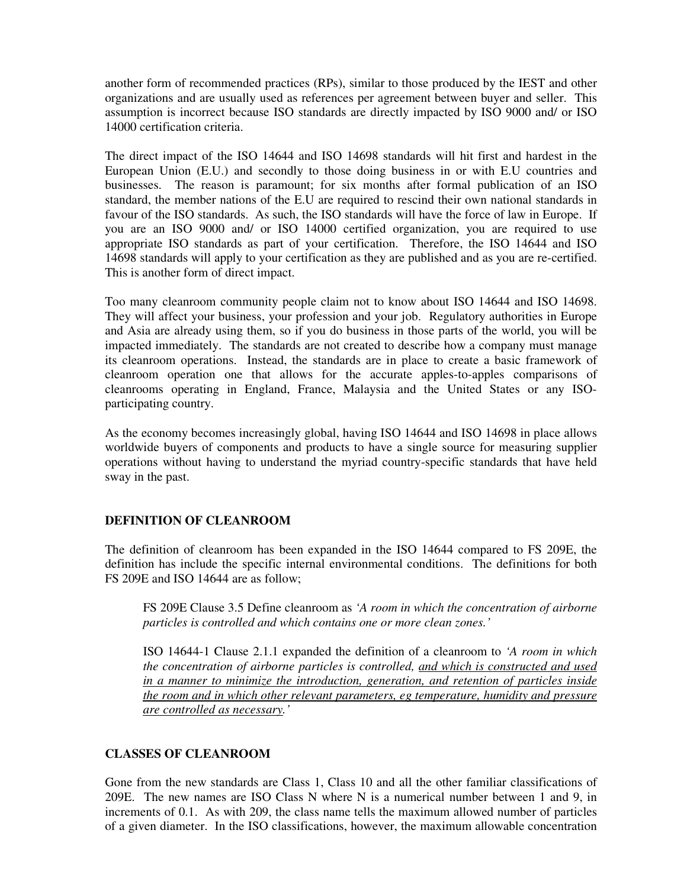another form of recommended practices (RPs), similar to those produced by the IEST and other organizations and are usually used as references per agreement between buyer and seller. This assumption is incorrect because ISO standards are directly impacted by ISO 9000 and/ or ISO 14000 certification criteria.

The direct impact of the ISO 14644 and ISO 14698 standards will hit first and hardest in the European Union (E.U.) and secondly to those doing business in or with E.U countries and businesses. The reason is paramount; for six months after formal publication of an ISO standard, the member nations of the E.U are required to rescind their own national standards in favour of the ISO standards. As such, the ISO standards will have the force of law in Europe. If you are an ISO 9000 and/ or ISO 14000 certified organization, you are required to use appropriate ISO standards as part of your certification. Therefore, the ISO 14644 and ISO 14698 standards will apply to your certification as they are published and as you are re-certified. This is another form of direct impact.

Too many cleanroom community people claim not to know about ISO 14644 and ISO 14698. They will affect your business, your profession and your job. Regulatory authorities in Europe and Asia are already using them, so if you do business in those parts of the world, you will be impacted immediately. The standards are not created to describe how a company must manage its cleanroom operations. Instead, the standards are in place to create a basic framework of cleanroom operation one that allows for the accurate apples-to-apples comparisons of cleanrooms operating in England, France, Malaysia and the United States or any ISOparticipating country.

As the economy becomes increasingly global, having ISO 14644 and ISO 14698 in place allows worldwide buyers of components and products to have a single source for measuring supplier operations without having to understand the myriad country-specific standards that have held sway in the past.

# **DEFINITION OF CLEANROOM**

The definition of cleanroom has been expanded in the ISO 14644 compared to FS 209E, the definition has include the specific internal environmental conditions. The definitions for both FS 209E and ISO 14644 are as follow;

FS 209E Clause 3.5 Define cleanroom as *'A room in which the concentration of airborne particles is controlled and which contains one or more clean zones.'*

ISO 14644-1 Clause 2.1.1 expanded the definition of a cleanroom to *'A room in which the concentration of airborne particles is controlled, and which is constructed and used in a manner to minimize the introduction, generation, and retention of particles inside the room and in which other relevant parameters, eg temperature, humidity and pressure are controlled as necessary.'*

### **CLASSES OF CLEANROOM**

Gone from the new standards are Class 1, Class 10 and all the other familiar classifications of 209E. The new names are ISO Class N where N is a numerical number between 1 and 9, in increments of 0.1. As with 209, the class name tells the maximum allowed number of particles of a given diameter. In the ISO classifications, however, the maximum allowable concentration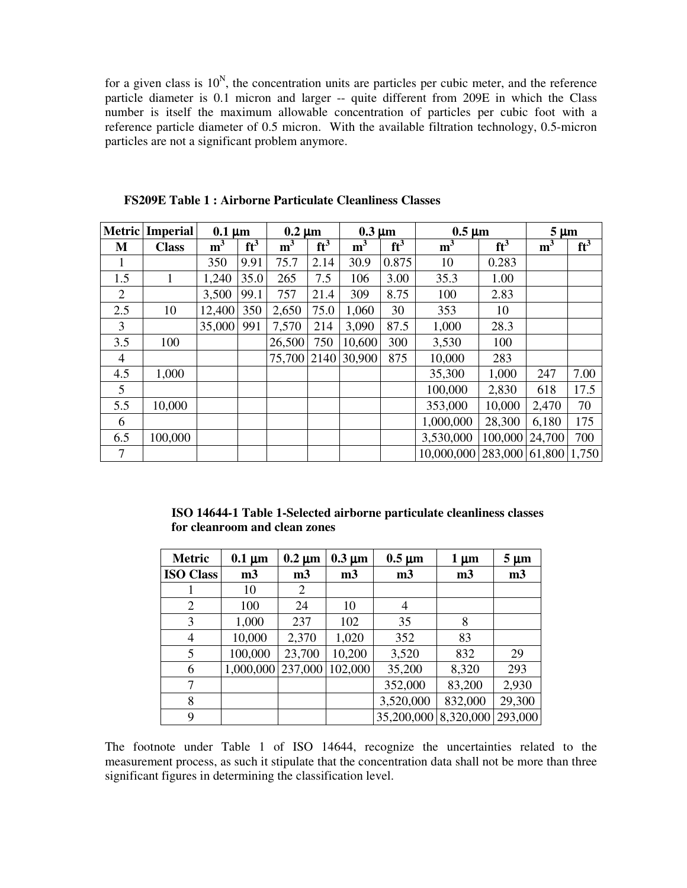for a given class is  $10^N$ , the concentration units are particles per cubic meter, and the reference particle diameter is 0.1 micron and larger -- quite different from 209E in which the Class number is itself the maximum allowable concentration of particles per cubic foot with a reference particle diameter of 0.5 micron. With the available filtration technology, 0.5-micron particles are not a significant problem anymore.

|     | <b>Metric</b> Imperial | $0.1 \mu m$    |        | $0.2 \mu m$    |        | $0.3 \mu m$    |        | $0.5 \mu m$                           |         | $5 \mu m$      |        |
|-----|------------------------|----------------|--------|----------------|--------|----------------|--------|---------------------------------------|---------|----------------|--------|
| M   | <b>Class</b>           | m <sup>3</sup> | $ft^3$ | m <sup>3</sup> | $ft^3$ | m <sup>3</sup> | $ft^3$ | m <sup>3</sup>                        | $ft^3$  | m <sup>3</sup> | $ft^3$ |
| 1   |                        | 350            | 9.91   | 75.7           | 2.14   | 30.9           | 0.875  | 10                                    | 0.283   |                |        |
| 1.5 | 1                      | 1,240          | 35.0   | 265            | 7.5    | 106            | 3.00   | 35.3                                  | 1.00    |                |        |
| 2   |                        | 3,500          | 99.1   | 757            | 21.4   | 309            | 8.75   | 100                                   | 2.83    |                |        |
| 2.5 | 10                     | 12,400         | 350    | 2,650          | 75.0   | 1,060          | 30     | 353                                   | 10      |                |        |
| 3   |                        | 35,000         | 991    | 7,570          | 214    | 3,090          | 87.5   | 1,000                                 | 28.3    |                |        |
| 3.5 | 100                    |                |        | 26,500         | 750    | 10,600         | 300    | 3,530                                 | 100     |                |        |
| 4   |                        |                |        | 75,700 2140    |        | 30,900         | 875    | 10,000                                | 283     |                |        |
| 4.5 | 1,000                  |                |        |                |        |                |        | 35,300                                | 1,000   | 247            | 7.00   |
| 5   |                        |                |        |                |        |                |        | 100,000                               | 2,830   | 618            | 17.5   |
| 5.5 | 10,000                 |                |        |                |        |                |        | 353,000                               | 10,000  | 2,470          | 70     |
| 6   |                        |                |        |                |        |                |        | 1,000,000                             | 28,300  | 6,180          | 175    |
| 6.5 | 100,000                |                |        |                |        |                |        | 3,530,000                             | 100,000 | 24,700         | 700    |
| 7   |                        |                |        |                |        |                |        | 10,000,000   283,000   61,800   1,750 |         |                |        |

**FS209E Table 1 : Airborne Particulate Cleanliness Classes**

**ISO 14644-1 Table 1-Selected airborne particulate cleanliness classes for cleanroom and clean zones**

| <b>Metric</b>    | $0.1 \mu m$    | $0.2 \mu m$    | $0.3 \mu m$    | $0.5 \mu m$    | $1 \mu m$      | $5 \mu m$      |
|------------------|----------------|----------------|----------------|----------------|----------------|----------------|
| <b>ISO Class</b> | m <sub>3</sub> | m <sub>3</sub> | m <sub>3</sub> | m <sub>3</sub> | m <sub>3</sub> | m <sub>3</sub> |
|                  | 10             | 2              |                |                |                |                |
| $\overline{2}$   | 100            | 24             | 10             | 4              |                |                |
| 3                | 1,000          | 237            | 102            | 35             | 8              |                |
| 4                | 10,000         | 2,370          | 1,020          | 352            | 83             |                |
| 5                | 100,000        | 23,700         | 10,200         | 3,520          | 832            | 29             |
| 6                | 1,000,000      | 237,000        | 102,000        | 35,200         | 8,320          | 293            |
| 7                |                |                |                | 352,000        | 83,200         | 2,930          |
| 8                |                |                |                | 3,520,000      | 832,000        | 29,300         |
| 9                |                |                |                | 35,200,000     | 8,320,000      | 293,000        |

The footnote under Table 1 of ISO 14644, recognize the uncertainties related to the measurement process, as such it stipulate that the concentration data shall not be more than three significant figures in determining the classification level.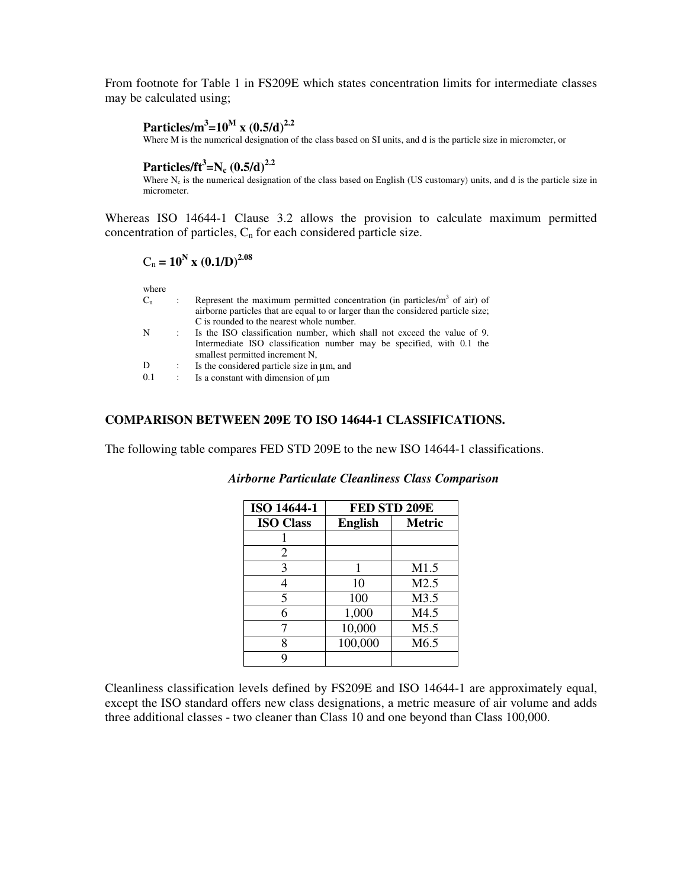From footnote for Table 1 in FS209E which states concentration limits for intermediate classes may be calculated using;

# **Particles/m 3 =10 M x (0.5/d) 2.2**

Where M is the numerical designation of the class based on SI units, and d is the particle size in micrometer, or

# **Particles/ft 3 =N<sup>c</sup> (0.5/d) 2.2**

Where  $N_c$  is the numerical designation of the class based on English (US customary) units, and d is the particle size in micrometer.

Whereas ISO 14644-1 Clause 3.2 allows the provision to calculate maximum permitted concentration of particles,  $C_n$  for each considered particle size.

$$
C_n = 10^N \text{ x } (0.1/D)^{2.08}
$$

where

| $C_{n}$ |                             | Represent the maximum permitted concentration (in particles/ $m3$ of air) of<br>airborne particles that are equal to or larger than the considered particle size; |
|---------|-----------------------------|-------------------------------------------------------------------------------------------------------------------------------------------------------------------|
|         |                             | C is rounded to the nearest whole number.                                                                                                                         |
| N       | $\mathcal{L}^{\mathcal{L}}$ | Is the ISO classification number, which shall not exceed the value of 9.                                                                                          |
|         |                             | Intermediate ISO classification number may be specified, with 0.1 the<br>smallest permitted increment N,                                                          |
| D       |                             | Is the considered particle size in $\mu$ m, and                                                                                                                   |
| 0.1     |                             | Is a constant with dimension of um                                                                                                                                |
|         |                             |                                                                                                                                                                   |

### **COMPARISON BETWEEN 209E TO ISO 14644-1 CLASSIFICATIONS.**

The following table compares FED STD 209E to the new ISO 14644-1 classifications.

| <b>ISO 14644-1</b> | FED STD 209E   |                  |
|--------------------|----------------|------------------|
| <b>ISO Class</b>   | <b>English</b> | <b>Metric</b>    |
|                    |                |                  |
| 2                  |                |                  |
| 3                  | 1              | M1.5             |
| 4                  | 10             | M2.5             |
| 5                  | 100            | M3.5             |
| 6                  | 1,000          | M4.5             |
|                    | 10,000         | M5.5             |
| 8                  | 100,000        | M <sub>6.5</sub> |
| Q                  |                |                  |

# *Airborne Particulate Cleanliness Class Comparison*

Cleanliness classification levels defined by FS209E and ISO 14644-1 are approximately equal, except the ISO standard offers new class designations, a metric measure of air volume and adds three additional classes - two cleaner than Class 10 and one beyond than Class 100,000.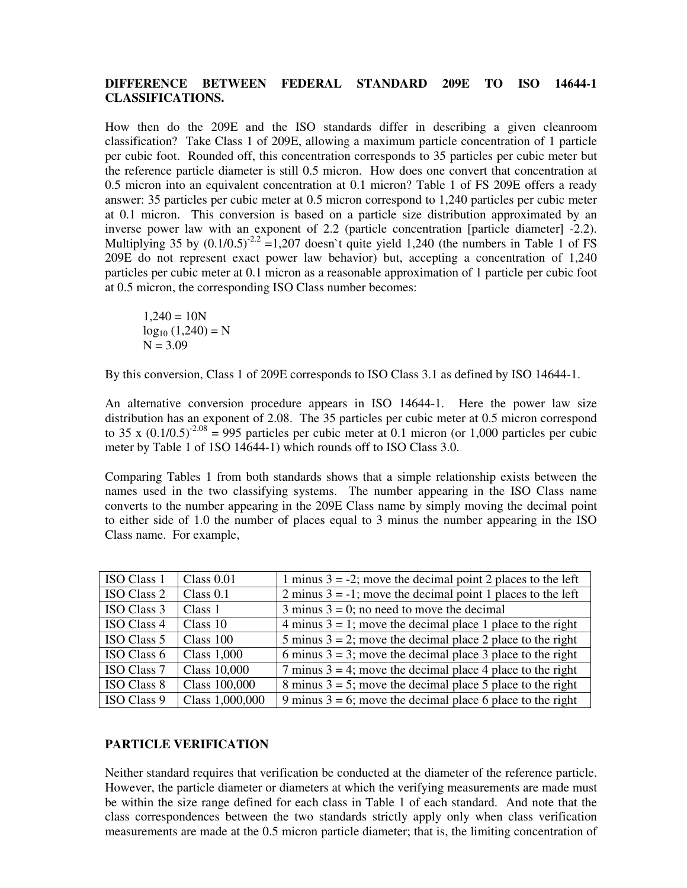# **DIFFERENCE BETWEEN FEDERAL STANDARD 209E TO ISO 14644-1 CLASSIFICATIONS.**

How then do the 209E and the ISO standards differ in describing a given cleanroom classification? Take Class 1 of 209E, allowing a maximum particle concentration of 1 particle per cubic foot. Rounded off, this concentration corresponds to 35 particles per cubic meter but the reference particle diameter is still 0.5 micron. How does one convert that concentration at 0.5 micron into an equivalent concentration at 0.1 micron? Table 1 of FS 209E offers a ready answer: 35 particles per cubic meter at 0.5 micron correspond to 1,240 particles per cubic meter at 0.1 micron. This conversion is based on a particle size distribution approximated by an inverse power law with an exponent of 2.2 (particle concentration [particle diameter] -2.2). Multiplying 35 by  $(0.1/0.5)^{2.2} = 1,207$  doesn't quite yield 1,240 (the numbers in Table 1 of FS 209E do not represent exact power law behavior) but, accepting a concentration of 1,240 particles per cubic meter at 0.1 micron as a reasonable approximation of 1 particle per cubic foot at 0.5 micron, the corresponding ISO Class number becomes:

 $1,240 = 10N$  $log_{10} (1,240) = N$  $N = 3.09$ 

By this conversion, Class 1 of 209E corresponds to ISO Class 3.1 as defined by ISO 14644-1.

An alternative conversion procedure appears in ISO 14644-1. Here the power law size distribution has an exponent of 2.08. The 35 particles per cubic meter at 0.5 micron correspond to 35 x  $(0.1/0.5)^{2.08}$  = 995 particles per cubic meter at 0.1 micron (or 1,000 particles per cubic meter by Table 1 of 1SO 14644-1) which rounds off to ISO Class 3.0.

Comparing Tables 1 from both standards shows that a simple relationship exists between the names used in the two classifying systems. The number appearing in the ISO Class name converts to the number appearing in the 209E Class name by simply moving the decimal point to either side of 1.0 the number of places equal to 3 minus the number appearing in the ISO Class name. For example,

| <b>ISO Class 1</b> | Class $0.01$       | 1 minus $3 = -2$ ; move the decimal point 2 places to the left |
|--------------------|--------------------|----------------------------------------------------------------|
| ISO Class 2        | Class $0.1$        | 2 minus $3 = -1$ ; move the decimal point 1 places to the left |
| ISO Class 3        | Class 1            | 3 minus $3 = 0$ ; no need to move the decimal                  |
| <b>ISO Class 4</b> | Class 10           | 4 minus $3 = 1$ ; move the decimal place 1 place to the right  |
| ISO Class 5        | Class 100          | 5 minus $3 = 2$ ; move the decimal place 2 place to the right  |
| ISO Class 6        | <b>Class 1,000</b> | 6 minus $3 = 3$ ; move the decimal place 3 place to the right  |
| <b>ISO Class 7</b> | Class 10,000       | 7 minus $3 = 4$ ; move the decimal place 4 place to the right  |
| <b>ISO Class 8</b> | Class 100,000      | 8 minus $3 = 5$ ; move the decimal place 5 place to the right  |
| ISO Class 9        | Class 1,000,000    | 9 minus $3 = 6$ ; move the decimal place 6 place to the right  |

### **PARTICLE VERIFICATION**

Neither standard requires that verification be conducted at the diameter of the reference particle. However, the particle diameter or diameters at which the verifying measurements are made must be within the size range defined for each class in Table 1 of each standard. And note that the class correspondences between the two standards strictly apply only when class verification measurements are made at the 0.5 micron particle diameter; that is, the limiting concentration of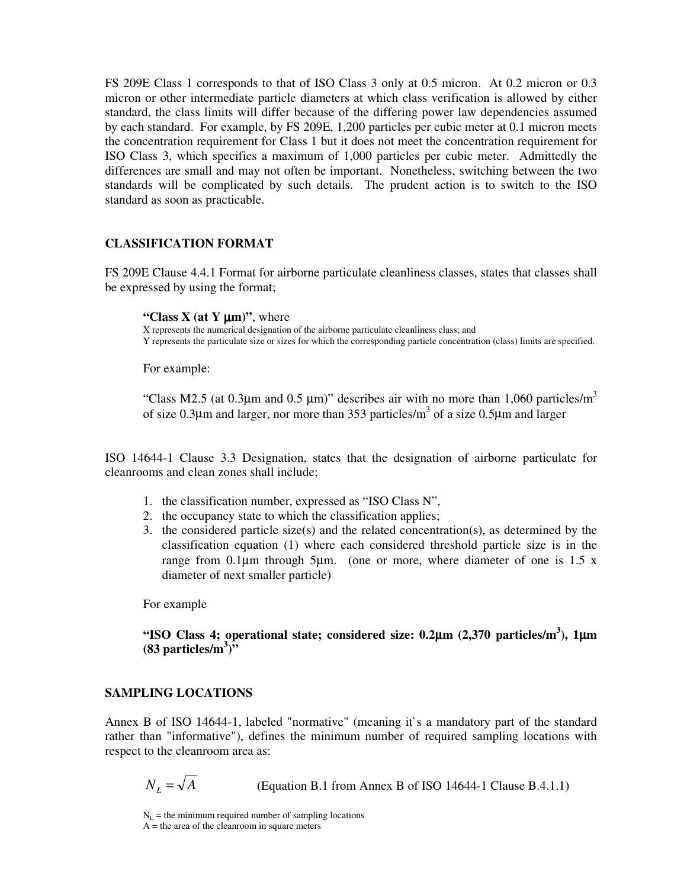FS 209E Class 1 corresponds to that of ISO Class 3 only at 0.5 micron. At 0.2 micron or 0.3 micron or other intermediate particle diameters at which class verification is allowed by either standard, the class limits will differ because of the differing power law dependencies assumed by each standard. For example, by FS 209E, 1,200 particles per cubic meter at 0.1 micron meets the concentration requirement for Class 1 but it does not meet the concentration requirement for ISO Class 3, which specifies a maximum of 1,000 particles per cubic meter. Admittedly the differences are small and may not often be important. Nonetheless, switching between the two standards will be complicated by such details. The prudent action is to switch to the ISO standard as soon as practicable.

### **CLASSIFICATION FORMAT**

FS 209E Clause 4.4.1 Format for airborne particulate cleanliness classes, states that classes shall be expressed by using the format;

#### **"Class X** (at **Y**  $\mu$ m)", where

X represents the numerical designation of the airborne particulate cleanliness class; and Y represents the particulate size or sizes for which the corresponding particle concentration (class) limits are specified.

For example:

"Class M2.5 (at 0.3 $\mu$ m and 0.5  $\mu$ m)" describes air with no more than 1,060 particles/m<sup>3</sup> of size 0.3 $\mu$ m and larger, nor more than 353 particles/m<sup>3</sup> of a size 0.5 $\mu$ m and larger

ISO 14644-1 Clause 3.3 Designation, states that the designation of airborne particulate for cleanrooms and clean zones shall include;

- 1. the classification number, expressed as "ISO Class N",
- 2. the occupancy state to which the classification applies;
- 3. the considered particle size(s) and the related concentration(s), as determined by the classification equation (1) where each considered threshold particle size is in the range from  $0.1\mu$ m through 5 $\mu$ m. (one or more, where diameter of one is 1.5 x diameter of next smaller particle)

For example

# **"ISO Class 4; operational state; considered size: 0.2**µ**m (2,370 particles/m 3 ), 1**µ**m (83 particles/m 3 )"**

### **SAMPLING LOCATIONS**

Annex B of ISO 14644-1, labeled "normative" (meaning it`s a mandatory part of the standard rather than "informative"), defines the minimum number of required sampling locations with respect to the cleanroom area as:

 $N_L = \sqrt{A}$  (Equation B.1 from Annex B of ISO 14644-1 Clause B.4.1.1)

 $N_L$  = the minimum required number of sampling locations  $A =$  the area of the cleanroom in square meters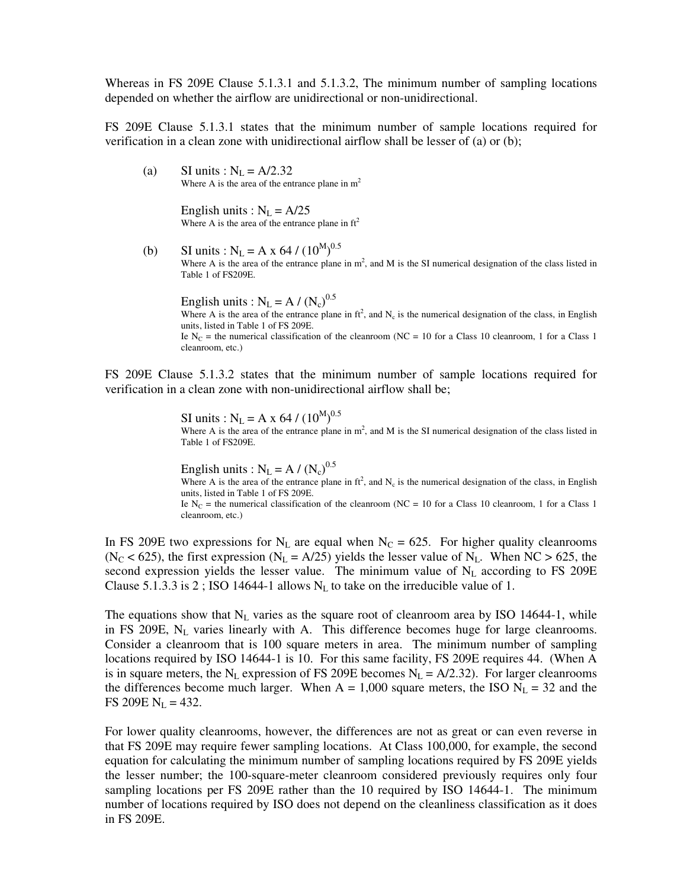Whereas in FS 209E Clause 5.1.3.1 and 5.1.3.2, The minimum number of sampling locations depended on whether the airflow are unidirectional or non-unidirectional.

FS 209E Clause 5.1.3.1 states that the minimum number of sample locations required for verification in a clean zone with unidirectional airflow shall be lesser of (a) or (b);

(a) SI units :  $N_L = A/2.32$ Where A is the area of the entrance plane in  $m<sup>2</sup>$ 

> English units :  $N_L = A/25$ Where A is the area of the entrance plane in  $ft^2$

(b) SI units :  $N_L = A x 64 / (10^{M})^{0.5}$ Where A is the area of the entrance plane in  $m^2$ , and M is the SI numerical designation of the class listed in Table 1 of FS209E.

English units :  $N_L = A / (N_c)^{0.5}$ Where A is the area of the entrance plane in  $ft^2$ , and  $N_c$  is the numerical designation of the class, in English units, listed in Table 1 of FS 209E. Ie  $N_c$  = the numerical classification of the cleanroom (NC = 10 for a Class 10 cleanroom, 1 for a Class 1 cleanroom, etc.)

FS 209E Clause 5.1.3.2 states that the minimum number of sample locations required for verification in a clean zone with non-unidirectional airflow shall be;

> SI units :  $N_L = A x 64 / (10^{M})^{0.5}$ Where A is the area of the entrance plane in  $m^2$ , and M is the SI numerical designation of the class listed in Table 1 of FS209E.

> English units :  $N_L = A / (N_c)^{0.5}$ Where A is the area of the entrance plane in  $ft^2$ , and  $N_c$  is the numerical designation of the class, in English units, listed in Table 1 of FS 209E. Ie N<sub>C</sub> = the numerical classification of the cleanroom (NC = 10 for a Class 10 cleanroom, 1 for a Class 1 cleanroom, etc.)

In FS 209E two expressions for  $N_L$  are equal when  $N_C = 625$ . For higher quality cleanrooms ( $N_C$  < 625), the first expression ( $N_L$  = A/25) yields the lesser value of  $N_L$ . When NC > 625, the second expression yields the lesser value. The minimum value of  $N<sub>L</sub>$  according to FS 209E Clause 5.1.3.3 is 2; ISO 14644-1 allows  $N_L$  to take on the irreducible value of 1.

The equations show that  $N_L$  varies as the square root of cleanroom area by ISO 14644-1, while in FS 209E,  $N_L$  varies linearly with A. This difference becomes huge for large cleanrooms. Consider a cleanroom that is 100 square meters in area. The minimum number of sampling locations required by ISO 14644-1 is 10. For this same facility, FS 209E requires 44. (When A is in square meters, the N<sub>L</sub> expression of FS 209E becomes N<sub>L</sub> =  $A/2.32$ ). For larger cleanrooms the differences become much larger. When  $A = 1,000$  square meters, the ISO  $N_L = 32$  and the FS 209E  $N_L = 432$ .

For lower quality cleanrooms, however, the differences are not as great or can even reverse in that FS 209E may require fewer sampling locations. At Class 100,000, for example, the second equation for calculating the minimum number of sampling locations required by FS 209E yields the lesser number; the 100-square-meter cleanroom considered previously requires only four sampling locations per FS 209E rather than the 10 required by ISO 14644-1. The minimum number of locations required by ISO does not depend on the cleanliness classification as it does in FS 209E.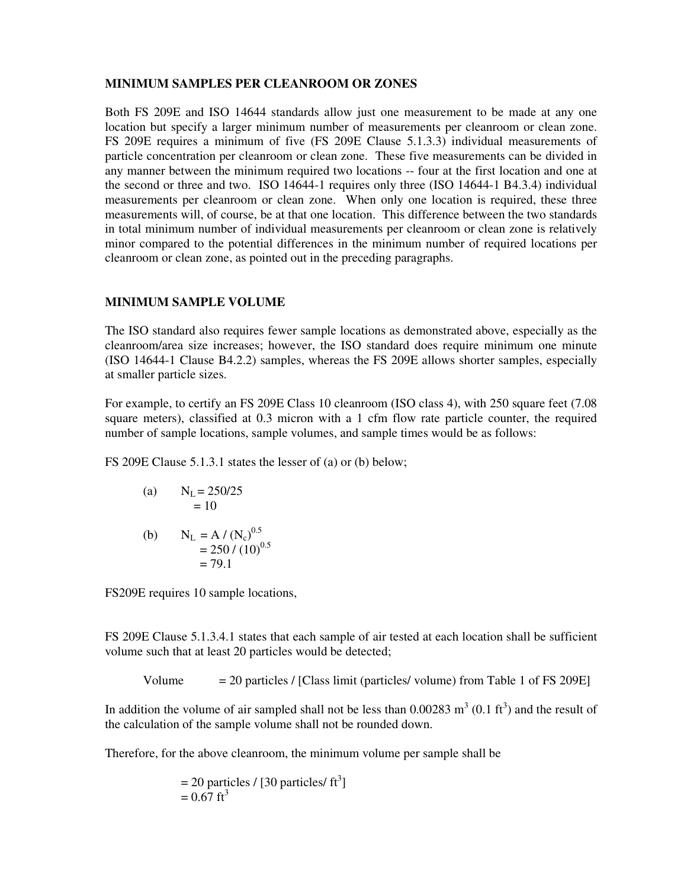# **MINIMUM SAMPLES PER CLEANROOM OR ZONES**

Both FS 209E and ISO 14644 standards allow just one measurement to be made at any one location but specify a larger minimum number of measurements per cleanroom or clean zone. FS 209E requires a minimum of five (FS 209E Clause 5.1.3.3) individual measurements of particle concentration per cleanroom or clean zone. These five measurements can be divided in any manner between the minimum required two locations -- four at the first location and one at the second or three and two. ISO 14644-1 requires only three (ISO 14644-1 B4.3.4) individual measurements per cleanroom or clean zone. When only one location is required, these three measurements will, of course, be at that one location. This difference between the two standards in total minimum number of individual measurements per cleanroom or clean zone is relatively minor compared to the potential differences in the minimum number of required locations per cleanroom or clean zone, as pointed out in the preceding paragraphs.

# **MINIMUM SAMPLE VOLUME**

The ISO standard also requires fewer sample locations as demonstrated above, especially as the cleanroom/area size increases; however, the ISO standard does require minimum one minute (ISO 14644-1 Clause B4.2.2) samples, whereas the FS 209E allows shorter samples, especially at smaller particle sizes.

For example, to certify an FS 209E Class 10 cleanroom (ISO class 4), with 250 square feet (7.08) square meters), classified at 0.3 micron with a 1 cfm flow rate particle counter, the required number of sample locations, sample volumes, and sample times would be as follows:

FS 209E Clause 5.1.3.1 states the lesser of (a) or (b) below;

(a) 
$$
N_L = 250/25
$$
  
= 10

(b) 
$$
N_L = A / (N_c)^{0.5}
$$
  
= 250 / (10)<sup>0.5</sup>  
= 79.1

FS209E requires 10 sample locations,

FS 209E Clause 5.1.3.4.1 states that each sample of air tested at each location shall be sufficient volume such that at least 20 particles would be detected;

Volume  $= 20$  particles / [Class limit (particles/ volume) from Table 1 of FS 209E]

In addition the volume of air sampled shall not be less than  $0.00283 \text{ m}^3 (0.1 \text{ ft}^3)$  and the result of the calculation of the sample volume shall not be rounded down.

Therefore, for the above cleanroom, the minimum volume per sample shall be

= 20 particles / 
$$
[30 \text{ particles/ ft}^3]
$$
  
= 0.67 ft<sup>3</sup>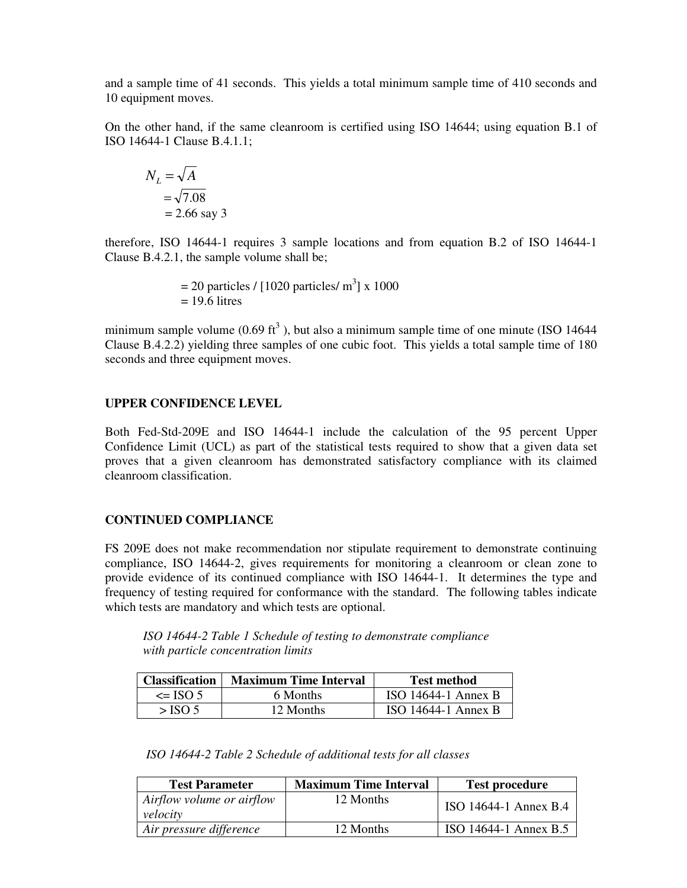and a sample time of 41 seconds. This yields a total minimum sample time of 410 seconds and 10 equipment moves.

On the other hand, if the same cleanroom is certified using ISO 14644; using equation B.1 of ISO 14644-1 Clause B.4.1.1;

$$
N_L = \sqrt{A}
$$
  
=  $\sqrt{7.08}$   
= 2.66 say 3

therefore, ISO 14644-1 requires 3 sample locations and from equation B.2 of ISO 14644-1 Clause B.4.2.1, the sample volume shall be;

> $= 20$  particles / [1020 particles/ m<sup>3</sup>] x 1000  $= 19.6$  litres

minimum sample volume (0.69 ft<sup>3</sup>), but also a minimum sample time of one minute (ISO 14644 Clause B.4.2.2) yielding three samples of one cubic foot. This yields a total sample time of 180 seconds and three equipment moves.

### **UPPER CONFIDENCE LEVEL**

Both Fed-Std-209E and ISO 14644-1 include the calculation of the 95 percent Upper Confidence Limit (UCL) as part of the statistical tests required to show that a given data set proves that a given cleanroom has demonstrated satisfactory compliance with its claimed cleanroom classification.

### **CONTINUED COMPLIANCE**

FS 209E does not make recommendation nor stipulate requirement to demonstrate continuing compliance, ISO 14644-2, gives requirements for monitoring a cleanroom or clean zone to provide evidence of its continued compliance with ISO 14644-1. It determines the type and frequency of testing required for conformance with the standard. The following tables indicate which tests are mandatory and which tests are optional.

*ISO 14644-2 Table 1 Schedule of testing to demonstrate compliance with particle concentration limits*

| <b>Classification</b> | <b>Maximum Time Interval</b> | <b>Test method</b>    |
|-----------------------|------------------------------|-----------------------|
| $\leq$ ISO 5          | 6 Months                     | ISO 14644-1 Annex B   |
| $>$ ISO 5             | 12 Months                    | $ISO$ 14644-1 Annex B |

*ISO 14644-2 Table 2 Schedule of additional tests for all classes*

| <b>Test Parameter</b>                 | <b>Maximum Time Interval</b> | <b>Test procedure</b> |
|---------------------------------------|------------------------------|-----------------------|
| Airflow volume or airflow<br>velocity | 12 Months                    | ISO 14644-1 Annex B.4 |
| Air pressure difference               | 12 Months                    | ISO 14644-1 Annex B.5 |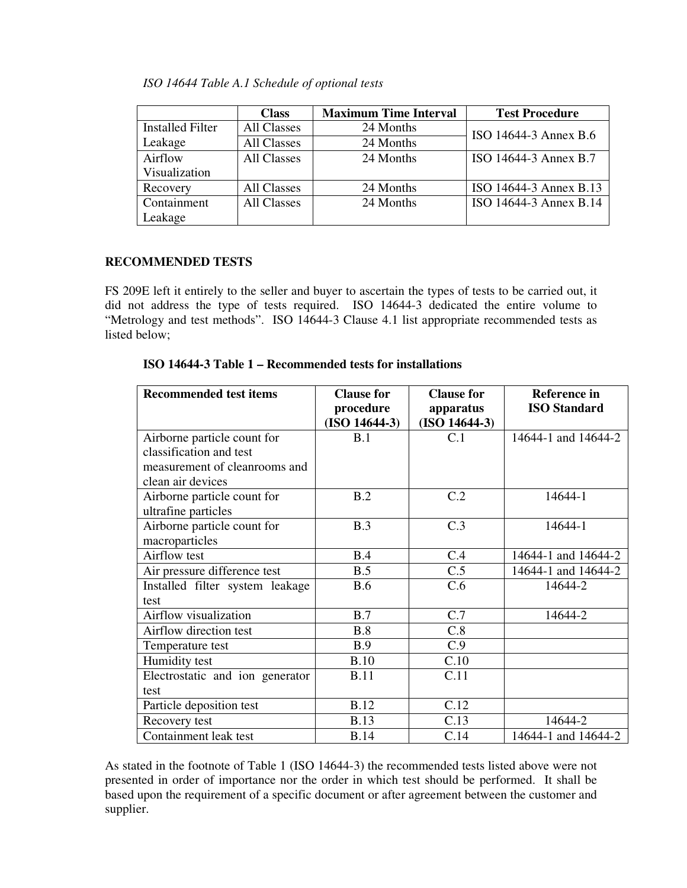|  |  |  |  | ISO 14644 Table A.1 Schedule of optional tests |  |
|--|--|--|--|------------------------------------------------|--|
|--|--|--|--|------------------------------------------------|--|

|                         | <b>Class</b>       | <b>Maximum Time Interval</b> | <b>Test Procedure</b>  |
|-------------------------|--------------------|------------------------------|------------------------|
| <b>Installed Filter</b> | All Classes        | 24 Months                    | ISO 14644-3 Annex B.6  |
| Leakage                 | All Classes        | 24 Months                    |                        |
| Airflow                 | All Classes        | 24 Months                    | ISO 14644-3 Annex B.7  |
| Visualization           |                    |                              |                        |
| Recovery                | All Classes        | 24 Months                    | ISO 14644-3 Annex B.13 |
| Containment             | <b>All Classes</b> | 24 Months                    | ISO 14644-3 Annex B.14 |
| Leakage                 |                    |                              |                        |

# **RECOMMENDED TESTS**

FS 209E left it entirely to the seller and buyer to ascertain the types of tests to be carried out, it did not address the type of tests required. ISO 14644-3 dedicated the entire volume to "Metrology and test methods". ISO 14644-3 Clause 4.1 list appropriate recommended tests as listed below;

|  |  |  | ISO 14644-3 Table 1 – Recommended tests for installations |  |  |
|--|--|--|-----------------------------------------------------------|--|--|
|--|--|--|-----------------------------------------------------------|--|--|

| <b>Recommended test items</b>   | <b>Clause for</b> | <b>Clause for</b> | <b>Reference</b> in |
|---------------------------------|-------------------|-------------------|---------------------|
|                                 | procedure         | apparatus         | <b>ISO Standard</b> |
|                                 | $(ISO 14644-3)$   | $(ISO 14644-3)$   |                     |
| Airborne particle count for     | B.1               | C.1               | 14644-1 and 14644-2 |
| classification and test         |                   |                   |                     |
| measurement of cleanrooms and   |                   |                   |                     |
| clean air devices               |                   |                   |                     |
| Airborne particle count for     | B.2               | C.2               | 14644-1             |
| ultrafine particles             |                   |                   |                     |
| Airborne particle count for     | B.3               | C.3               | 14644-1             |
| macroparticles                  |                   |                   |                     |
| Airflow test                    | B.4               | C.4               | 14644-1 and 14644-2 |
| Air pressure difference test    | B.5               | C.5               | 14644-1 and 14644-2 |
| Installed filter system leakage | <b>B.6</b>        | C.6               | 14644-2             |
| test                            |                   |                   |                     |
| Airflow visualization           | B.7               | C.7               | 14644-2             |
| Airflow direction test          | B.8               | C.8               |                     |
| Temperature test                | B.9               | C.9               |                     |
| Humidity test                   | B.10              | C.10              |                     |
| Electrostatic and ion generator | <b>B.11</b>       | C.11              |                     |
| test                            |                   |                   |                     |
| Particle deposition test        | <b>B.12</b>       | C.12              |                     |
| Recovery test                   | <b>B.13</b>       | C.13              | 14644-2             |
| Containment leak test           | <b>B.14</b>       | C.14              | 14644-1 and 14644-2 |

As stated in the footnote of Table 1 (ISO 14644-3) the recommended tests listed above were not presented in order of importance nor the order in which test should be performed. It shall be based upon the requirement of a specific document or after agreement between the customer and supplier.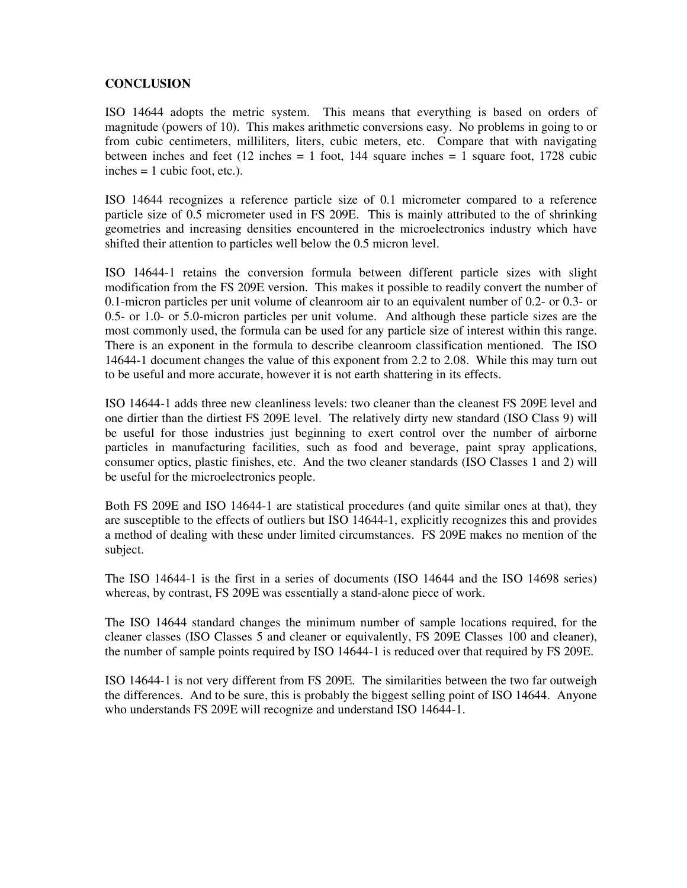# **CONCLUSION**

ISO 14644 adopts the metric system. This means that everything is based on orders of magnitude (powers of 10). This makes arithmetic conversions easy. No problems in going to or from cubic centimeters, milliliters, liters, cubic meters, etc. Compare that with navigating between inches and feet (12 inches = 1 foot, 144 square inches =  $\frac{1}{1}$  square foot, 1728 cubic  $inches = 1 cubic foot, etc.).$ 

ISO 14644 recognizes a reference particle size of 0.1 micrometer compared to a reference particle size of 0.5 micrometer used in FS 209E. This is mainly attributed to the of shrinking geometries and increasing densities encountered in the microelectronics industry which have shifted their attention to particles well below the 0.5 micron level.

ISO 14644-1 retains the conversion formula between different particle sizes with slight modification from the FS 209E version. This makes it possible to readily convert the number of 0.1-micron particles per unit volume of cleanroom air to an equivalent number of 0.2- or 0.3- or 0.5- or 1.0- or 5.0-micron particles per unit volume. And although these particle sizes are the most commonly used, the formula can be used for any particle size of interest within this range. There is an exponent in the formula to describe cleanroom classification mentioned. The ISO 14644-1 document changes the value of this exponent from 2.2 to 2.08. While this may turn out to be useful and more accurate, however it is not earth shattering in its effects.

ISO 14644-1 adds three new cleanliness levels: two cleaner than the cleanest FS 209E level and one dirtier than the dirtiest FS 209E level. The relatively dirty new standard (ISO Class 9) will be useful for those industries just beginning to exert control over the number of airborne particles in manufacturing facilities, such as food and beverage, paint spray applications, consumer optics, plastic finishes, etc. And the two cleaner standards (ISO Classes 1 and 2) will be useful for the microelectronics people.

Both FS 209E and ISO 14644-1 are statistical procedures (and quite similar ones at that), they are susceptible to the effects of outliers but ISO 14644-1, explicitly recognizes this and provides a method of dealing with these under limited circumstances. FS 209E makes no mention of the subject.

The ISO 14644-1 is the first in a series of documents (ISO 14644 and the ISO 14698 series) whereas, by contrast, FS 209E was essentially a stand-alone piece of work.

The ISO 14644 standard changes the minimum number of sample locations required, for the cleaner classes (ISO Classes 5 and cleaner or equivalently, FS 209E Classes 100 and cleaner), the number of sample points required by ISO 14644-1 is reduced over that required by FS 209E.

ISO 14644-1 is not very different from FS 209E. The similarities between the two far outweigh the differences. And to be sure, this is probably the biggest selling point of ISO 14644. Anyone who understands FS 209E will recognize and understand ISO 14644-1.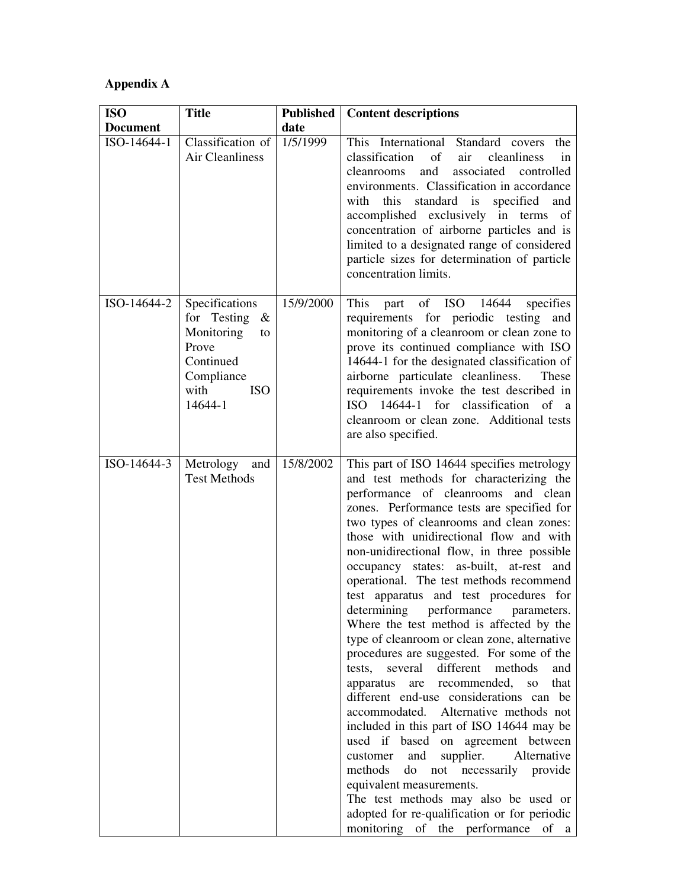# **Appendix A**

| <b>ISO</b>      | <b>Title</b>                                                                                                                | <b>Published</b> | <b>Content descriptions</b>                                                                                                                                                                                                                                                                                                                                                                                                                                                                                                                                                                                                                                                                                                                                                                                                                                                                                                                                                                                                                                                                                                                                              |
|-----------------|-----------------------------------------------------------------------------------------------------------------------------|------------------|--------------------------------------------------------------------------------------------------------------------------------------------------------------------------------------------------------------------------------------------------------------------------------------------------------------------------------------------------------------------------------------------------------------------------------------------------------------------------------------------------------------------------------------------------------------------------------------------------------------------------------------------------------------------------------------------------------------------------------------------------------------------------------------------------------------------------------------------------------------------------------------------------------------------------------------------------------------------------------------------------------------------------------------------------------------------------------------------------------------------------------------------------------------------------|
| <b>Document</b> |                                                                                                                             | date             |                                                                                                                                                                                                                                                                                                                                                                                                                                                                                                                                                                                                                                                                                                                                                                                                                                                                                                                                                                                                                                                                                                                                                                          |
| ISO-14644-1     | Classification of<br><b>Air Cleanliness</b>                                                                                 | 1/5/1999         | This International Standard covers<br>the<br>classification<br>of<br>air<br>cleanliness<br>in<br>and<br>associated<br>cleanrooms<br>controlled<br>environments. Classification in accordance<br>standard is<br>with<br>this<br>specified<br>and<br>accomplished exclusively in terms<br>of<br>concentration of airborne particles and is<br>limited to a designated range of considered<br>particle sizes for determination of particle<br>concentration limits.                                                                                                                                                                                                                                                                                                                                                                                                                                                                                                                                                                                                                                                                                                         |
| ISO-14644-2     | Specifications<br>for Testing $\&$<br>Monitoring<br>to<br>Prove<br>Continued<br>Compliance<br>with<br><b>ISO</b><br>14644-1 | 15/9/2000        | This<br>part of ISO 14644<br>specifies<br>requirements for periodic testing<br>and<br>monitoring of a cleanroom or clean zone to<br>prove its continued compliance with ISO<br>14644-1 for the designated classification of<br>airborne particulate cleanliness.<br>These<br>requirements invoke the test described in<br>ISO 14644-1 for classification of a<br>cleanroom or clean zone. Additional tests<br>are also specified.                                                                                                                                                                                                                                                                                                                                                                                                                                                                                                                                                                                                                                                                                                                                        |
| ISO-14644-3     | Metrology<br>and<br><b>Test Methods</b>                                                                                     | 15/8/2002        | This part of ISO 14644 specifies metrology<br>and test methods for characterizing the<br>performance of cleanrooms and clean<br>zones. Performance tests are specified for<br>two types of cleanrooms and clean zones:<br>those with unidirectional flow and with<br>non-unidirectional flow, in three possible<br>occupancy states: as-built, at-rest and<br>operational. The test methods recommend<br>test apparatus and test procedures for<br>determining<br>performance<br>parameters.<br>Where the test method is affected by the<br>type of cleanroom or clean zone, alternative<br>procedures are suggested. For some of the<br>tests, several different methods<br>and<br>recommended,<br>that<br>apparatus<br>are<br><b>SO</b><br>different end-use considerations can be<br>accommodated. Alternative methods not<br>included in this part of ISO 14644 may be<br>used if based on agreement between<br>supplier.<br>and<br>Alternative<br>customer<br>necessarily provide<br>methods<br>do<br>not<br>equivalent measurements.<br>The test methods may also be used or<br>adopted for re-qualification or for periodic<br>monitoring of the performance of a |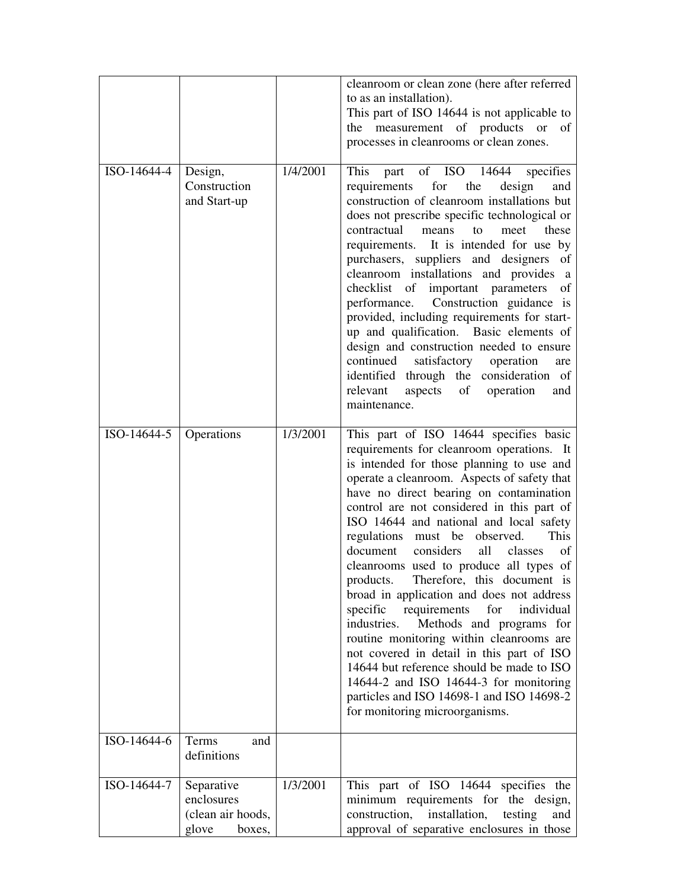|             |                                                                  |          | cleanroom or clean zone (here after referred<br>to as an installation).<br>This part of ISO 14644 is not applicable to<br>measurement of products or<br>of<br>the<br>processes in cleanrooms or clean zones.                                                                                                                                                                                                                                                                                                                                                                                                                                                                                                                                                                                                                                                                                              |
|-------------|------------------------------------------------------------------|----------|-----------------------------------------------------------------------------------------------------------------------------------------------------------------------------------------------------------------------------------------------------------------------------------------------------------------------------------------------------------------------------------------------------------------------------------------------------------------------------------------------------------------------------------------------------------------------------------------------------------------------------------------------------------------------------------------------------------------------------------------------------------------------------------------------------------------------------------------------------------------------------------------------------------|
| ISO-14644-4 | Design,<br>Construction<br>and Start-up                          | 1/4/2001 | This<br>of ISO 14644<br>specifies<br>part<br>requirements<br>for<br>the<br>design<br>and<br>construction of cleanroom installations but<br>does not prescribe specific technological or<br>contractual<br>means<br>to<br>meet<br>these<br>requirements. It is intended for use by<br>purchasers, suppliers and designers of<br>cleanroom installations and provides a<br>checklist of important parameters<br>of<br>Construction guidance is<br>performance.<br>provided, including requirements for start-<br>up and qualification. Basic elements of<br>design and construction needed to ensure<br>continued<br>satisfactory operation<br>are<br>identified through the consideration of<br>relevant<br>aspects<br>of<br>operation<br>and<br>maintenance.                                                                                                                                              |
| ISO-14644-5 | Operations                                                       | 1/3/2001 | This part of ISO 14644 specifies basic<br>requirements for cleanroom operations. It<br>is intended for those planning to use and<br>operate a cleanroom. Aspects of safety that<br>have no direct bearing on contamination<br>control are not considered in this part of<br>ISO 14644 and national and local safety<br>regulations must be observed.<br>This<br>document<br>considers<br>all<br>classes<br>οf<br>cleanrooms used to produce all types of<br>products. Therefore, this document is<br>broad in application and does not address<br>requirements<br>specific<br>for<br>individual<br>industries.<br>Methods and programs for<br>routine monitoring within cleanrooms are<br>not covered in detail in this part of ISO<br>14644 but reference should be made to ISO<br>14644-2 and ISO 14644-3 for monitoring<br>particles and ISO 14698-1 and ISO 14698-2<br>for monitoring microorganisms. |
| ISO-14644-6 | Terms<br>and<br>definitions                                      |          |                                                                                                                                                                                                                                                                                                                                                                                                                                                                                                                                                                                                                                                                                                                                                                                                                                                                                                           |
| ISO-14644-7 | Separative<br>enclosures<br>(clean air hoods,<br>glove<br>boxes, | 1/3/2001 | This part of ISO 14644 specifies the<br>minimum requirements for the design,<br>construction,<br>installation,<br>testing<br>and<br>approval of separative enclosures in those                                                                                                                                                                                                                                                                                                                                                                                                                                                                                                                                                                                                                                                                                                                            |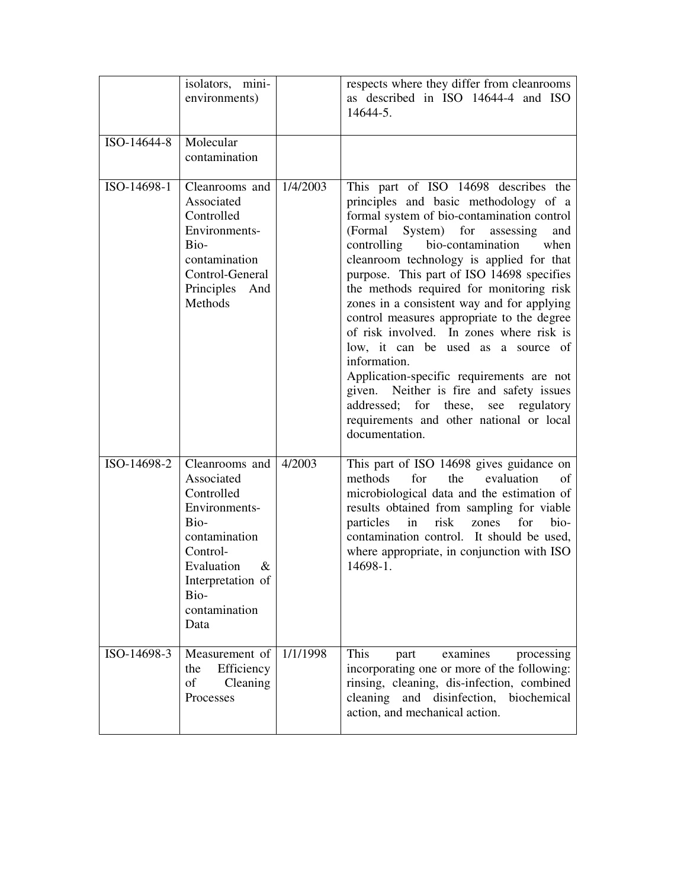|             | isolators, mini-<br>environments)                                                                                                                                            |          | respects where they differ from cleanrooms<br>as described in ISO 14644-4 and ISO<br>14644-5.                                                                                                                                                                                                                                                                                                                                                                                                                                                                                                                                                                                                                                                        |
|-------------|------------------------------------------------------------------------------------------------------------------------------------------------------------------------------|----------|------------------------------------------------------------------------------------------------------------------------------------------------------------------------------------------------------------------------------------------------------------------------------------------------------------------------------------------------------------------------------------------------------------------------------------------------------------------------------------------------------------------------------------------------------------------------------------------------------------------------------------------------------------------------------------------------------------------------------------------------------|
| ISO-14644-8 | Molecular<br>contamination                                                                                                                                                   |          |                                                                                                                                                                                                                                                                                                                                                                                                                                                                                                                                                                                                                                                                                                                                                      |
| ISO-14698-1 | Cleanrooms and<br>Associated<br>Controlled<br>Environments-<br>Bio-<br>contamination<br>Control-General<br>Principles And<br>Methods                                         | 1/4/2003 | This part of ISO 14698 describes the<br>principles and basic methodology of a<br>formal system of bio-contamination control<br>(Formal System) for assessing<br>and<br>controlling bio-contamination<br>when<br>cleanroom technology is applied for that<br>purpose. This part of ISO 14698 specifies<br>the methods required for monitoring risk<br>zones in a consistent way and for applying<br>control measures appropriate to the degree<br>of risk involved. In zones where risk is<br>low, it can be used as a source of<br>information.<br>Application-specific requirements are not<br>given. Neither is fire and safety issues<br>addressed; for these,<br>regulatory<br>see<br>requirements and other national or local<br>documentation. |
| ISO-14698-2 | Cleanrooms and<br>Associated<br>Controlled<br>Environments-<br>Bio-<br>contamination<br>Control-<br>Evaluation<br>$\&$<br>Interpretation of<br>Bio-<br>contamination<br>Data | 4/2003   | This part of ISO 14698 gives guidance on<br>methods<br>for<br>evaluation<br>the<br>of<br>microbiological data and the estimation of<br>results obtained from sampling for viable<br>particles in<br>risk zones<br>for<br>bio-<br>contamination control. It should be used,<br>where appropriate, in conjunction with ISO<br>14698-1.                                                                                                                                                                                                                                                                                                                                                                                                                 |
| ISO-14698-3 | Measurement of<br>Efficiency<br>the<br>$% \left( \left( \mathcal{A},\mathcal{A}\right) \right) =\left( \mathcal{A},\mathcal{A}\right)$ of<br>Cleaning<br>Processes           | 1/1/1998 | This<br>examines<br>part<br>processing<br>incorporating one or more of the following:<br>rinsing, cleaning, dis-infection, combined<br>cleaning and disinfection,<br>biochemical<br>action, and mechanical action.                                                                                                                                                                                                                                                                                                                                                                                                                                                                                                                                   |